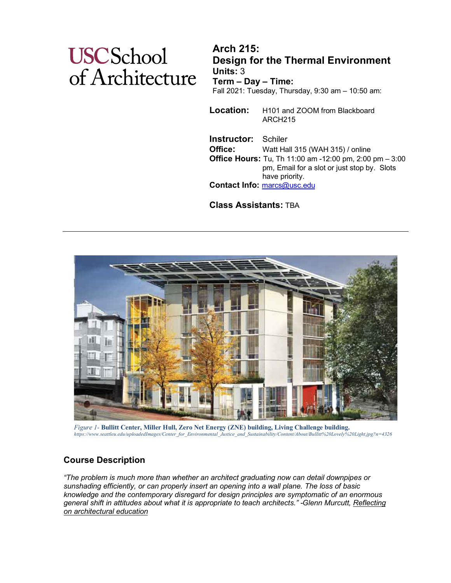# **USCSchool** of Architecture

**Arch 215: Design for the Thermal Environment Units:** 3 **Term – Day – Time:** Fall 2021: Tuesday, Thursday, 9:30 am – 10:50 am:

**Location:** H101 and ZOOM from Blackboard ARCH215

**Instructor:** Schiler **Office:** Watt Hall 315 (WAH 315) / online **Office Hours:** Tu, Th 11:00 am -12:00 pm, 2:00 pm – 3:00 pm, Email for a slot or just stop by. Slots have priority. **Contact Info:** [marcs@usc.edu](mailto:marcs@usc.edu)

**Class Assistants:** TBA



Figure 1- Bullitt Center, Miller Hull, Zero Net Energy (ZNE) building, Living Challenge building.<br>https://www.seattleu.edu/uploadedImages/Center for Environmental Justice and Sustainability/Content/About/Bullitt%20Lovely%2

## **Course Description**

*"The problem is much more than whether an architect graduating now can detail downpipes or sunshading efficiently, or can properly insert an opening into a wall plane. The loss of basic knowledge and the contemporary disregard for design principles are symptomatic of an enormous general shift in attitudes about what it is appropriate to teach architects." -Glenn Murcutt, Reflecting on architectural education*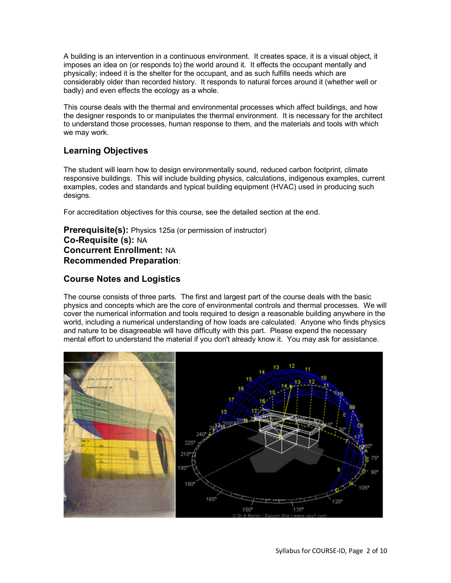A building is an intervention in a continuous environment. It creates space, it is a visual object, it imposes an idea on (or responds to) the world around it. It effects the occupant mentally and physically; indeed it is the shelter for the occupant, and as such fulfills needs which are considerably older than recorded history. It responds to natural forces around it (whether well or badly) and even effects the ecology as a whole.

This course deals with the thermal and environmental processes which affect buildings, and how the designer responds to or manipulates the thermal environment. It is necessary for the architect to understand those processes, human response to them, and the materials and tools with which we may work.

## **Learning Objectives**

The student will learn how to design environmentally sound, reduced carbon footprint, climate responsive buildings. This will include building physics, calculations, indigenous examples, current examples, codes and standards and typical building equipment (HVAC) used in producing such designs.

For accreditation objectives for this course, see the detailed section at the end.

**Prerequisite(s):** Physics 125a (or permission of instructor) **Co-Requisite (s):** NA **Concurrent Enrollment:** NA **Recommended Preparation**:

## **Course Notes and Logistics**

The course consists of three parts. The first and largest part of the course deals with the basic physics and concepts which are the core of environmental controls and thermal processes. We will cover the numerical information and tools required to design a reasonable building anywhere in the world, including a numerical understanding of how loads are calculated. Anyone who finds physics and nature to be disagreeable will have difficulty with this part. Please expend the necessary mental effort to understand the material if you don't already know it. You may ask for assistance.

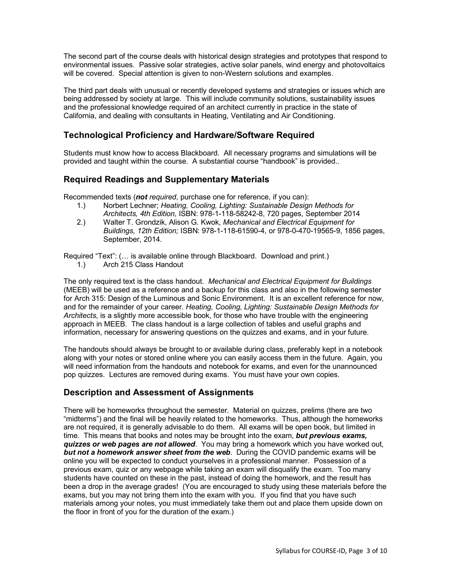The second part of the course deals with historical design strategies and prototypes that respond to environmental issues. Passive solar strategies, active solar panels, wind energy and photovoltaics will be covered. Special attention is given to non-Western solutions and examples.

The third part deals with unusual or recently developed systems and strategies or issues which are being addressed by society at large. This will include community solutions, sustainability issues and the professional knowledge required of an architect currently in practice in the state of California, and dealing with consultants in Heating, Ventilating and Air Conditioning.

## **Technological Proficiency and Hardware/Software Required**

Students must know how to access Blackboard. All necessary programs and simulations will be provided and taught within the course. A substantial course "handbook" is provided..

## **Required Readings and Supplementary Materials**

Recommended texts (*not required*, purchase one for reference, if you can):

- 1.) Norbert Lechner; *Heating, Cooling, Lighting: Sustainable Design Methods for Architects, 4th Edition,* ISBN: 978-1-118-58242-8, 720 pages, September 2014
- 2.) Walter T. Grondzik, Alison G. Kwok, *Mechanical and Electrical Equipment for Buildings, 12th Edition;* ISBN: 978-1-118-61590-4, or 978-0-470-19565-9, 1856 pages, September, 2014.

Required "Text": (… is available online through Blackboard. Download and print.) 1.) Arch 215 Class Handout

The only required text is the class handout. *Mechanical and Electrical Equipment for Buildings*  (MEEB) will be used as a reference and a backup for this class and also in the following semester for Arch 315: Design of the Luminous and Sonic Environment. It is an excellent reference for now, and for the remainder of your career. *Heating, Cooling, Lighting: Sustainable Design Methods for Architects*, is a slightly more accessible book, for those who have trouble with the engineering approach in MEEB. The class handout is a large collection of tables and useful graphs and information, necessary for answering questions on the quizzes and exams, and in your future.

The handouts should always be brought to or available during class, preferably kept in a notebook along with your notes or stored online where you can easily access them in the future. Again, you will need information from the handouts and notebook for exams, and even for the unannounced pop quizzes. Lectures are removed during exams. You must have your own copies.

## **Description and Assessment of Assignments**

There will be homeworks throughout the semester. Material on quizzes, prelims (there are two "midterms") and the final will be heavily related to the homeworks. Thus, although the homeworks are not required, it is generally advisable to do them. All exams will be open book, but limited in time. This means that books and notes may be brought into the exam, *but previous exams, quizzes or web pages are not allowed*. You may bring a homework which you have worked out, *but not a homework answer sheet from the web*. During the COVID pandemic exams will be online you will be expected to conduct yourselves in a professional manner. Possession of a previous exam, quiz or any webpage while taking an exam will disqualify the exam. Too many students have counted on these in the past, instead of doing the homework, and the result has been a drop in the average grades! (You are encouraged to study using these materials before the exams, but you may not bring them into the exam with you. If you find that you have such materials among your notes, you must immediately take them out and place them upside down on the floor in front of you for the duration of the exam.)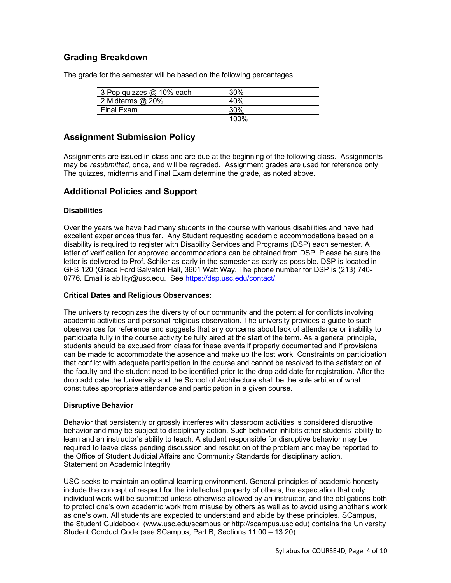## **Grading Breakdown**

The grade for the semester will be based on the following percentages:

| 3 Pop quizzes @ 10% each | 30%  |
|--------------------------|------|
| 2 Midterms $@$ 20%       | 40%  |
| Final Exam               |      |
|                          | 100% |

## **Assignment Submission Policy**

Assignments are issued in class and are due at the beginning of the following class. Assignments may be *resubmitted*, once, and will be regraded. Assignment grades are used for reference only. The quizzes, midterms and Final Exam determine the grade, as noted above.

## **Additional Policies and Support**

#### **Disabilities**

Over the years we have had many students in the course with various disabilities and have had excellent experiences thus far. Any Student requesting academic accommodations based on a disability is required to register with Disability Services and Programs (DSP) each semester. A letter of verification for approved accommodations can be obtained from DSP. Please be sure the letter is delivered to Prof. Schiler as early in the semester as early as possible. DSP is located in GFS 120 (Grace Ford Salvatori Hall, 3601 Watt Way. The phone number for DSP is (213) 740- 0776. Email is ability@usc.edu. Se[e https://dsp.usc.edu/contact/.](https://dsp.usc.edu/contact/)

#### **Critical Dates and Religious Observances:**

The university recognizes the diversity of our community and the potential for conflicts involving academic activities and personal religious observation. The university provides a guide to such observances for reference and suggests that any concerns about lack of attendance or inability to participate fully in the course activity be fully aired at the start of the term. As a general principle, students should be excused from class for these events if properly documented and if provisions can be made to accommodate the absence and make up the lost work. Constraints on participation that conflict with adequate participation in the course and cannot be resolved to the satisfaction of the faculty and the student need to be identified prior to the drop add date for registration. After the drop add date the University and the School of Architecture shall be the sole arbiter of what constitutes appropriate attendance and participation in a given course.

#### **Disruptive Behavior**

Behavior that persistently or grossly interferes with classroom activities is considered disruptive behavior and may be subject to disciplinary action. Such behavior inhibits other students' ability to learn and an instructor's ability to teach. A student responsible for disruptive behavior may be required to leave class pending discussion and resolution of the problem and may be reported to the Office of Student Judicial Affairs and Community Standards for disciplinary action. Statement on Academic Integrity

USC seeks to maintain an optimal learning environment. General principles of academic honesty include the concept of respect for the intellectual property of others, the expectation that only individual work will be submitted unless otherwise allowed by an instructor, and the obligations both to protect one's own academic work from misuse by others as well as to avoid using another's work as one's own. All students are expected to understand and abide by these principles. SCampus, the Student Guidebook, (www.usc.edu/scampus or http://scampus.usc.edu) contains the University Student Conduct Code (see SCampus, Part B, Sections 11.00 – 13.20).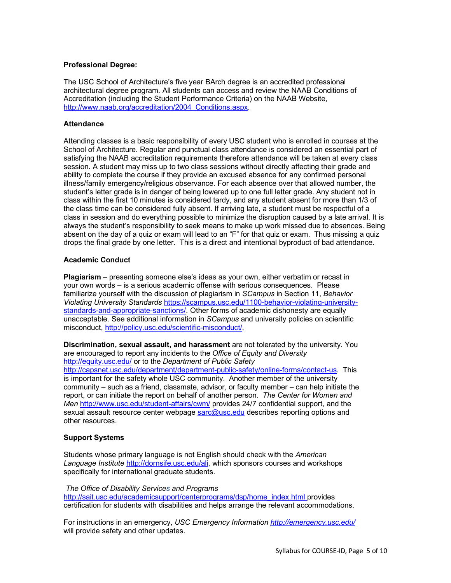#### **Professional Degree:**

The USC School of Architecture's five year BArch degree is an accredited professional architectural degree program. All students can access and review the NAAB Conditions of Accreditation (including the Student Performance Criteria) on the NAAB Website, [http://www.naab.org/accreditation/2004\\_Conditions.aspx.](http://www.naab.org/accreditation/2004_Conditions.aspx)

#### **Attendance**

Attending classes is a basic responsibility of every USC student who is enrolled in courses at the School of Architecture. Regular and punctual class attendance is considered an essential part of satisfying the NAAB accreditation requirements therefore attendance will be taken at every class session. A student may miss up to two class sessions without directly affecting their grade and ability to complete the course if they provide an excused absence for any confirmed personal illness/family emergency/religious observance. For each absence over that allowed number, the student's letter grade is in danger of being lowered up to one full letter grade. Any student not in class within the first 10 minutes is considered tardy, and any student absent for more than 1/3 of the class time can be considered fully absent. If arriving late, a student must be respectful of a class in session and do everything possible to minimize the disruption caused by a late arrival. It is always the student's responsibility to seek means to make up work missed due to absences. Being absent on the day of a quiz or exam will lead to an "F" for that quiz or exam. Thus missing a quiz drops the final grade by one letter. This is a direct and intentional byproduct of bad attendance.

#### **Academic Conduct**

**Plagiarism** – presenting someone else's ideas as your own, either verbatim or recast in your own words – is a serious academic offense with serious consequences. Please familiarize yourself with the discussion of plagiarism in *SCampus* in Section 11, *Behavior Violating University Standards* [https://scampus.usc.edu/1100-behavior-violating-university](https://scampus.usc.edu/1100-behavior-violating-university-standards-and-appropriate-sanctions/)[standards-and-appropriate-sanctions/.](https://scampus.usc.edu/1100-behavior-violating-university-standards-and-appropriate-sanctions/) Other forms of academic dishonesty are equally unacceptable. See additional information in *SCampus* and university policies on scientific misconduct, [http://policy.usc.edu/scientific-misconduct/.](http://policy.usc.edu/scientific-misconduct/)

**Discrimination, sexual assault, and harassment** are not tolerated by the university. You are encouraged to report any incidents to the *Office of Equity and Diversity* <http://equity.usc.edu/> or to the *Department of Public Safety*

[http://capsnet.usc.edu/department/department-public-safety/online-forms/contact-us.](http://capsnet.usc.edu/department/department-public-safety/online-forms/contact-us) This is important for the safety whole USC community. Another member of the university community – such as a friend, classmate, advisor, or faculty member – can help initiate the report, or can initiate the report on behalf of another person. *The Center for Women and Men* <http://www.usc.edu/student-affairs/cwm/> provides 24/7 confidential support, and the sexual assault resource center webpage [sarc@usc.edu](mailto:sarc@usc.edu) describes reporting options and other resources.

#### **Support Systems**

Students whose primary language is not English should check with the *American Language Institute* [http://dornsife.usc.edu/ali,](http://dornsife.usc.edu/ali) which sponsors courses and workshops specifically for international graduate students.

#### *The Office of Disability Services and Programs*

[http://sait.usc.edu/academicsupport/centerprograms/dsp/home\\_index.html](http://sait.usc.edu/academicsupport/centerprograms/dsp/home_index.html) provides certification for students with disabilities and helps arrange the relevant accommodations.

For instructions in an emergency, *USC Emergency Information<http://emergency.usc.edu/>* will provide safety and other updates.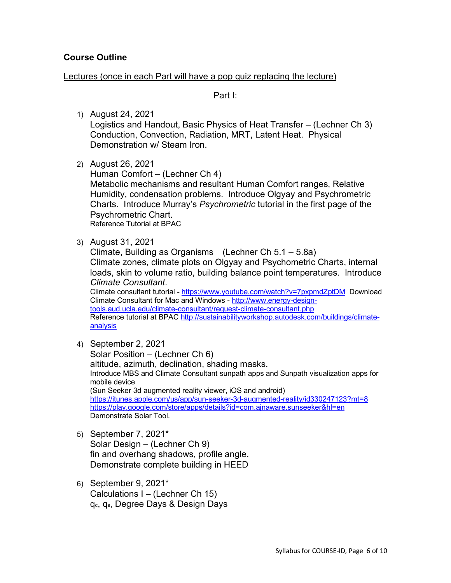## **Course Outline**

### Lectures (once in each Part will have a pop quiz replacing the lecture)

Part I:

1) August 24, 2021

Logistics and Handout, Basic Physics of Heat Transfer – (Lechner Ch 3) Conduction, Convection, Radiation, MRT, Latent Heat. Physical Demonstration w/ Steam Iron.

2) August 26, 2021

Human Comfort – (Lechner Ch 4) Metabolic mechanisms and resultant Human Comfort ranges, Relative Humidity, condensation problems. Introduce Olgyay and Psychrometric Charts. Introduce Murray's *Psychrometric* tutorial in the first page of the Psychrometric Chart. Reference Tutorial at BPAC

3) August 31, 2021

Climate, Building as Organisms (Lechner Ch 5.1 – 5.8a) Climate zones, climate plots on Olgyay and Psychometric Charts, internal loads, skin to volume ratio, building balance point temperatures. Introduce *Climate Consultant*.

Climate consultant tutorial - <https://www.youtube.com/watch?v=7pxpmdZptDM>Download Climate Consultant for Mac and Windows - [http://www.energy-design](http://www.energy-design-tools.aud.ucla.edu/climate-consultant/request-climate-consultant.php)[tools.aud.ucla.edu/climate-consultant/request-climate-consultant.php](http://www.energy-design-tools.aud.ucla.edu/climate-consultant/request-climate-consultant.php) 

Reference tutorial at BPAC [http://sustainabilityworkshop.autodesk.com/buildings/climate](http://sustainabilityworkshop.autodesk.com/buildings/climate-analysis)[analysis](http://sustainabilityworkshop.autodesk.com/buildings/climate-analysis)

4) September 2, 2021

Solar Position – (Lechner Ch 6) altitude, azimuth, declination, shading masks. Introduce MBS and Climate Consultant sunpath apps and Sunpath visualization apps for mobile device (Sun Seeker 3d augmented reality viewer, iOS and android) <https://itunes.apple.com/us/app/sun-seeker-3d-augmented-reality/id330247123?mt=8> <https://play.google.com/store/apps/details?id=com.ajnaware.sunseeker&hl=en> Demonstrate Solar Tool.

- 5) September 7, 2021\* Solar Design – (Lechner Ch 9) fin and overhang shadows, profile angle. Demonstrate complete building in HEED
- 6) September 9, 2021\* Calculations I – (Lechner Ch 15) qc, qs, Degree Days & Design Days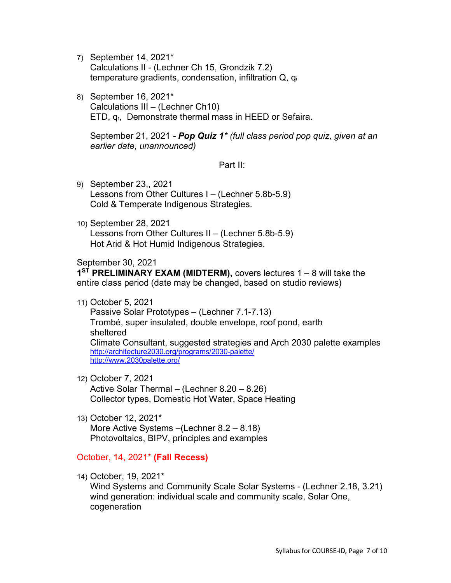- 7) September 14, 2021\* Calculations II - (Lechner Ch 15, Grondzik 7.2) temperature gradients, condensation, infiltration Q, qi
- 8) September 16, 2021\* Calculations III – (Lechner Ch10) ETD, qr, Demonstrate thermal mass in HEED or Sefaira.

September 21, 2021 *- Pop Quiz 1\* (full class period pop quiz, given at an earlier date, unannounced)*

Part II:

- 9) September 23,, 2021 Lessons from Other Cultures I – (Lechner 5.8b-5.9) Cold & Temperate Indigenous Strategies.
- 10) September 28, 2021 Lessons from Other Cultures II – (Lechner 5.8b-5.9) Hot Arid & Hot Humid Indigenous Strategies.

September 30, 2021

**1ST PRELIMINARY EXAM (MIDTERM),** covers lectures 1 – 8 will take the entire class period (date may be changed, based on studio reviews)

11) October 5, 2021

Passive Solar Prototypes – (Lechner 7.1-7.13) Trombé, super insulated, double envelope, roof pond, earth sheltered Climate Consultant, suggested strategies and Arch 2030 palette examples <http://architecture2030.org/programs/2030-palette/> <http://www.2030palette.org/>

12) October 7, 2021

Active Solar Thermal – (Lechner 8.20 – 8.26) Collector types, Domestic Hot Water, Space Heating

13) October 12, 2021\* More Active Systems –(Lechner 8.2 – 8.18) Photovoltaics, BIPV, principles and examples

## October, 14, 2021\* **(Fall Recess)**

14) October, 19, 2021\*

Wind Systems and Community Scale Solar Systems - (Lechner 2.18, 3.21) wind generation: individual scale and community scale, Solar One, cogeneration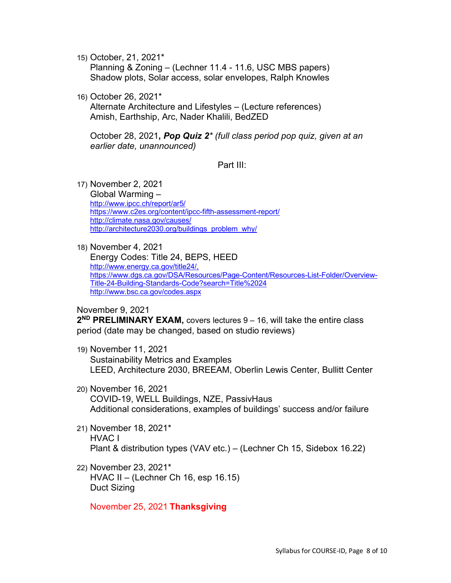15) October, 21, 2021\*

Planning & Zoning – (Lechner 11.4 - 11.6, USC MBS papers) Shadow plots, Solar access, solar envelopes, Ralph Knowles

16) October 26, 2021\*

Alternate Architecture and Lifestyles – (Lecture references) Amish, Earthship, Arc, Nader Khalili, BedZED

October 28, 2021**,** *Pop Quiz 2\* (full class period pop quiz, given at an earlier date, unannounced)*

Part III:

17) November 2, 2021

Global Warming – <http://www.ipcc.ch/report/ar5/> <https://www.c2es.org/content/ipcc-fifth-assessment-report/> <http://climate.nasa.gov/causes/> [http://architecture2030.org/buildings\\_problem\\_why/](http://architecture2030.org/buildings_problem_why/)

18) November 4, 2021

Energy Codes: Title 24, BEPS, HEED [http://www.energy.ca.gov/title24/,](http://www.energy.ca.gov/title24/) [https://www.dgs.ca.gov/DSA/Resources/Page-Content/Resources-List-Folder/Overview-](https://www.dgs.ca.gov/DSA/Resources/Page-Content/Resources-List-Folder/Overview-Title-24-Building-Standards-Code?search=Title%2024)[Title-24-Building-Standards-Code?search=Title%2024](https://www.dgs.ca.gov/DSA/Resources/Page-Content/Resources-List-Folder/Overview-Title-24-Building-Standards-Code?search=Title%2024) <http://www.bsc.ca.gov/codes.aspx>

November 9, 2021

**2ND PRELIMINARY EXAM,** covers lectures 9 – 16, will take the entire class period (date may be changed, based on studio reviews)

- 19) November 11, 2021 Sustainability Metrics and Examples LEED, Architecture 2030, BREEAM, Oberlin Lewis Center, Bullitt Center
- 20) November 16, 2021 COVID-19, WELL Buildings, NZE, PassivHaus Additional considerations, examples of buildings' success and/or failure
- 21) November 18, 2021\* HVAC I Plant & distribution types (VAV etc.) – (Lechner Ch 15, Sidebox 16.22)
- 22) November 23, 2021\* HVAC II – (Lechner Ch 16, esp 16.15) Duct Sizing

November 25, 2021 **Thanksgiving**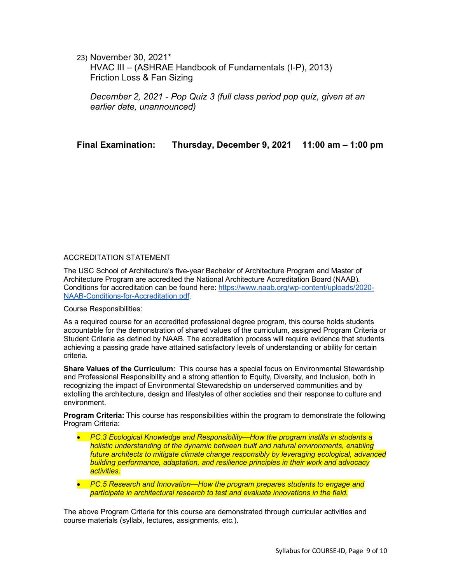23) November 30, 2021\*

HVAC III – (ASHRAE Handbook of Fundamentals (I-P), 2013) Friction Loss & Fan Sizing

*December 2, 2021 - Pop Quiz 3 (full class period pop quiz, given at an earlier date, unannounced)*

**Final Examination: Thursday, December 9, 2021 11:00 am – 1:00 pm**

#### ACCREDITATION STATEMENT

The USC School of Architecture's five-year Bachelor of Architecture Program and Master of Architecture Program are accredited the National Architecture Accreditation Board (NAAB). Conditions for accreditation can be found here: https://www.naab.org/wp-content/uploads/2020- NAAB-Conditions-for-Accreditation.pdf.

Course Responsibilities:

As a required course for an accredited professional degree program, this course holds students accountable for the demonstration of shared values of the curriculum, assigned Program Criteria or Student Criteria as defined by NAAB. The accreditation process will require evidence that students achieving a passing grade have attained satisfactory levels of understanding or ability for certain criteria.

**Share Values of the Curriculum:** This course has a special focus on Environmental Stewardship and Professional Responsibility and a strong attention to Equity, Diversity, and Inclusion, both in recognizing the impact of Environmental Stewaredship on underserved communities and by extolling the architecture, design and lifestyles of other societies and their response to culture and environment.

**Program Criteria:** This course has responsibilities within the program to demonstrate the following Program Criteria:

- *PC.3 Ecological Knowledge and Responsibility—How the program instills in students a holistic understanding of the dynamic between built and natural environments, enabling future architects to mitigate climate change responsibly by leveraging ecological, advanced building performance, adaptation, and resilience principles in their work and advocacy activities.*
- *PC.5 Research and Innovation—How the program prepares students to engage and participate in architectural research to test and evaluate innovations in the field.*

The above Program Criteria for this course are demonstrated through curricular activities and course materials (syllabi, lectures, assignments, etc.).